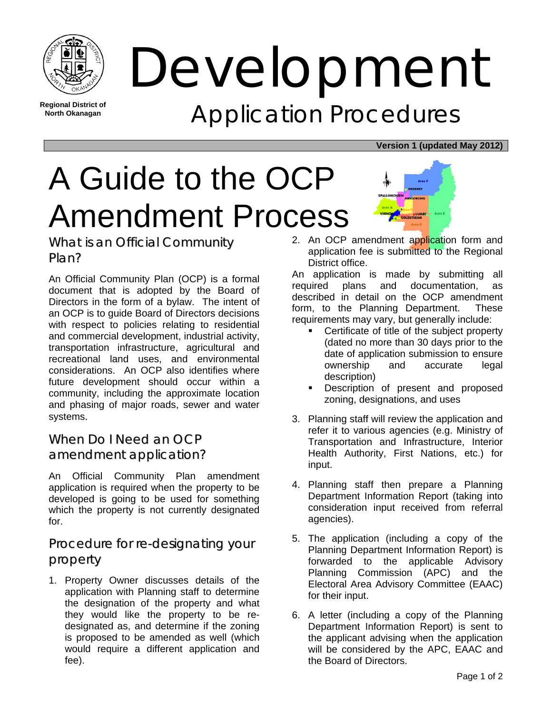

**Regional District of North Okanagan** 

Development Application Procedures

#### **Version 1 (updated May 2012)**

# A Guide to the OCP Amendment Process



What is an Official Community Plan?

An Official Community Plan (OCP) is a formal document that is adopted by the Board of Directors in the form of a bylaw. The intent of an OCP is to guide Board of Directors decisions with respect to policies relating to residential and commercial development, industrial activity, transportation infrastructure, agricultural and recreational land uses, and environmental considerations. An OCP also identifies where future development should occur within a community, including the approximate location and phasing of major roads, sewer and water systems.

# When Do I Need an OCP amendment application?

An Official Community Plan amendment application is required when the property to be developed is going to be used for something which the property is not currently designated for.

# Procedure for re-designating your property

1. Property Owner discusses details of the application with Planning staff to determine the designation of the property and what they would like the property to be redesignated as, and determine if the zoning is proposed to be amended as well (which would require a different application and fee).

2. An OCP amendment application form and application fee is submitted to the Regional District office.

An application is made by submitting all required plans and documentation, as described in detail on the OCP amendment form, to the Planning Department. These requirements may vary, but generally include:

- Certificate of title of the subject property (dated no more than 30 days prior to the date of application submission to ensure ownership and accurate legal description)
- Description of present and proposed zoning, designations, and uses
- 3. Planning staff will review the application and refer it to various agencies (e.g. Ministry of Transportation and Infrastructure, Interior Health Authority, First Nations, etc.) for input.
- 4. Planning staff then prepare a Planning Department Information Report (taking into consideration input received from referral agencies).
- 5. The application (including a copy of the Planning Department Information Report) is forwarded to the applicable Advisory Planning Commission (APC) and the Electoral Area Advisory Committee (EAAC) for their input.
- 6. A letter (including a copy of the Planning Department Information Report) is sent to the applicant advising when the application will be considered by the APC, EAAC and the Board of Directors.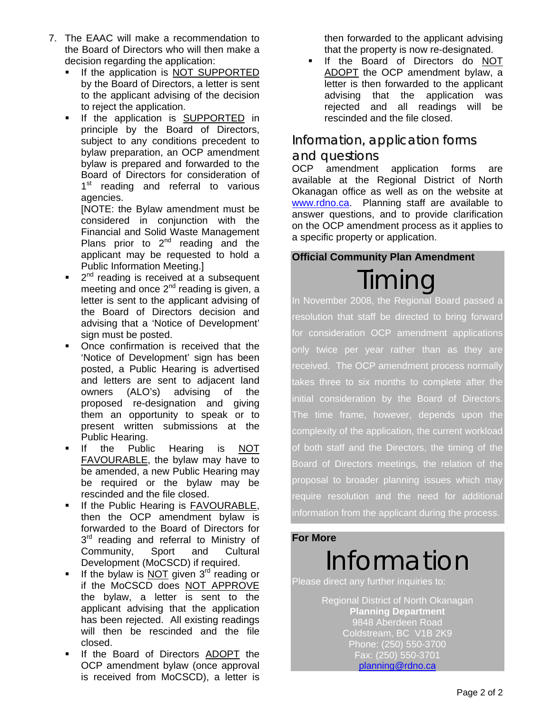- 7. The EAAC will make a recommendation to the Board of Directors who will then make a decision regarding the application:
	- If the application is NOT SUPPORTED by the Board of Directors, a letter is sent to the applicant advising of the decision to reject the application.
	- If the application is SUPPORTED in principle by the Board of Directors, subject to any conditions precedent to bylaw preparation, an OCP amendment bylaw is prepared and forwarded to the Board of Directors for consideration of 1<sup>st</sup> reading and referral to various agencies.

[NOTE: the Bylaw amendment must be considered in conjunction with the Financial and Solid Waste Management Plans prior to  $2<sup>nd</sup>$  reading and the applicant may be requested to hold a Public Information Meeting.]

- 2<sup>nd</sup> reading is received at a subsequent meeting and once 2<sup>nd</sup> reading is given, a letter is sent to the applicant advising of the Board of Directors decision and advising that a 'Notice of Development' sign must be posted.
- Once confirmation is received that the 'Notice of Development' sign has been posted, a Public Hearing is advertised and letters are sent to adjacent land owners (ALO's) advising of the proposed re-designation and giving them an opportunity to speak or to present written submissions at the Public Hearing.
- If the Public Hearing is NOT FAVOURABLE, the bylaw may have to be amended, a new Public Hearing may be required or the bylaw may be rescinded and the file closed.
- If the Public Hearing is FAVOURABLE, then the OCP amendment bylaw is forwarded to the Board of Directors for 3<sup>rd</sup> reading and referral to Ministry of Community, Sport and Cultural Development (MoCSCD) if required.
- If the bylaw is  $NOT$  given  $3<sup>rd</sup>$  reading or if the MoCSCD does NOT APPROVE the bylaw, a letter is sent to the applicant advising that the application has been rejected. All existing readings will then be rescinded and the file closed.
- If the Board of Directors ADOPT the OCP amendment bylaw (once approval is received from MoCSCD), a letter is

then forwarded to the applicant advising that the property is now re-designated.

 If the Board of Directors do NOT ADOPT the OCP amendment bylaw, a letter is then forwarded to the applicant advising that the application was rejected and all readings will be rescinded and the file closed.

## Information, application forms

## and questions

OCP amendment application forms are available at the Regional District of North Okanagan office as well as on the website at www.rdno.ca. Planning staff are available to answer questions, and to provide clarification on the OCP amendment process as it applies to a specific property or application.

#### **Official Community Plan Amendment**

Timing In November 2008, the Regional Board passed a resolution that staff be directed to bring forward for consideration OCP amendment applications only twice per year rather than as they are received. The OCP amendment process normally takes three to six months to complete after the initial consideration by the Board of Directors. The time frame, however, depends upon the complexity of the application, the current workload of both staff and the Directors, the timing of the Board of Directors meetings, the relation of the proposal to broader planning issues which may require resolution and the need for additional information from the applicant during the process.

#### **For More**

# Information

Please direct any further inquiries to:

Regional District of North Okanagan **Planning Department**  9848 Aberdeen Road Coldstream, BC V1B 2K9 Phone: (250) 550-3700 Fax: (250) 550-3701 planning@rdno.ca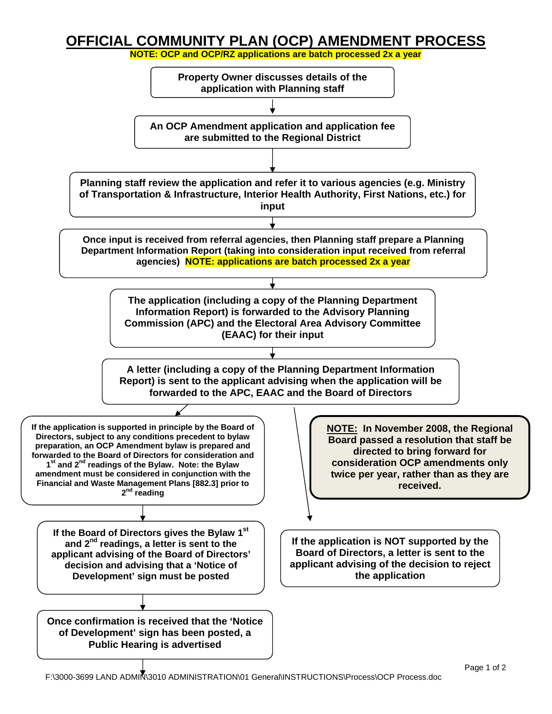# **OFFICIAL COMMUNITY PLAN (OCP) AMENDMENT PROCESS**